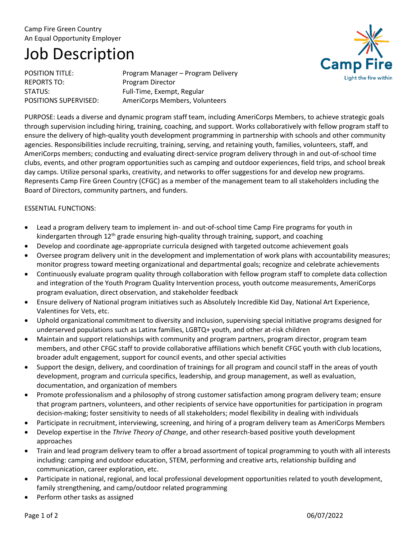## Camp Fire Green Country An Equal Opportunity Employer

# Job Description

REPORTS TO: Program Director

POSITION TITLE: Program Manager – Program Delivery STATUS: Full-Time, Exempt, Regular POSITIONS SUPERVISED: AmeriCorps Members, Volunteers



PURPOSE: Leads a diverse and dynamic program staff team, including AmeriCorps Members, to achieve strategic goals through supervision including hiring, training, coaching, and support. Works collaboratively with fellow program staff to ensure the delivery of high-quality youth development programming in partnership with schools and other community agencies. Responsibilities include recruiting, training, serving, and retaining youth, families, volunteers, staff, and AmeriCorps members; conducting and evaluating direct-service program delivery through in and out-of-school time clubs, events, and other program opportunities such as camping and outdoor experiences, field trips, and school break day camps. Utilize personal sparks, creativity, and networks to offer suggestions for and develop new programs. Represents Camp Fire Green Country (CFGC) as a member of the management team to all stakeholders including the Board of Directors, community partners, and funders.

## ESSENTIAL FUNCTIONS:

- Lead a program delivery team to implement in- and out-of-school time Camp Fire programs for youth in kindergarten through  $12<sup>th</sup>$  grade ensuring high-quality through training, support, and coaching
- Develop and coordinate age-appropriate curricula designed with targeted outcome achievement goals
- Oversee program delivery unit in the development and implementation of work plans with accountability measures; monitor progress toward meeting organizational and departmental goals; recognize and celebrate achievements
- Continuously evaluate program quality through collaboration with fellow program staff to complete data collection and integration of the Youth Program Quality Intervention process, youth outcome measurements, AmeriCorps program evaluation, direct observation, and stakeholder feedback
- Ensure delivery of National program initiatives such as Absolutely Incredible Kid Day, National Art Experience, Valentines for Vets, etc.
- Uphold organizational commitment to diversity and inclusion, supervising special initiative programs designed for underserved populations such as Latinx families, LGBTQ+ youth, and other at-risk children
- Maintain and support relationships with community and program partners, program director, program team members, and other CFGC staff to provide collaborative affiliations which benefit CFGC youth with club locations, broader adult engagement, support for council events, and other special activities
- Support the design, delivery, and coordination of trainings for all program and council staff in the areas of youth development, program and curricula specifics, leadership, and group management, as well as evaluation, documentation, and organization of members
- Promote professionalism and a philosophy of strong customer satisfaction among program delivery team; ensure that program partners, volunteers, and other recipients of service have opportunities for participation in program decision-making; foster sensitivity to needs of all stakeholders; model flexibility in dealing with individuals
- Participate in recruitment, interviewing, screening, and hiring of a program delivery team as AmeriCorps Members
- Develop expertise in the *Thrive Theory of Change*, and other research-based positive youth development approaches
- Train and lead program delivery team to offer a broad assortment of topical programming to youth with all interests including: camping and outdoor education, STEM, performing and creative arts, relationship building and communication, career exploration, etc.
- Participate in national, regional, and local professional development opportunities related to youth development, family strengthening, and camp/outdoor related programming
- Perform other tasks as assigned